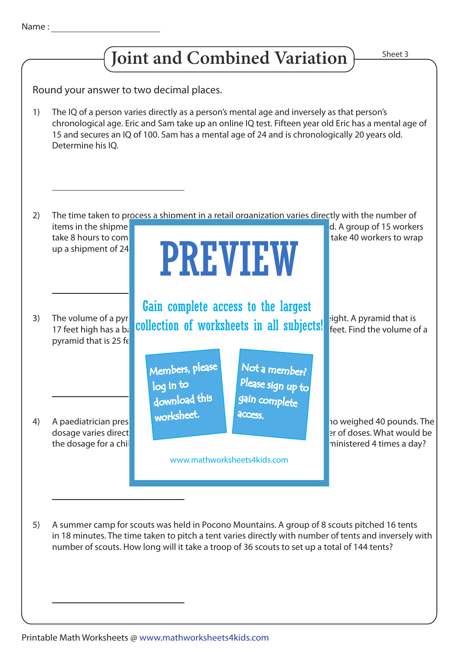

Round your answer to two decimal places.

The IQ of a person varies directly as a person's mental age and inversely as that person's chronological age. Eric and Sam take up an online IQ test. Fifteen year old Eric has a mental age of 15 and secures an IQ of 100. Sam has a mental age of 24 and is chronologically 20 years old. Determine his IQ. 1)



A summer camp for scouts was held in Pocono Mountains. A group of 8 scouts pitched 16 tents in 18 minutes. The time taken to pitch a tent varies directly with number of tents and inversely with number of scouts. How long will it take a troop of 36 scouts to set up a total of 144 tents? 5)